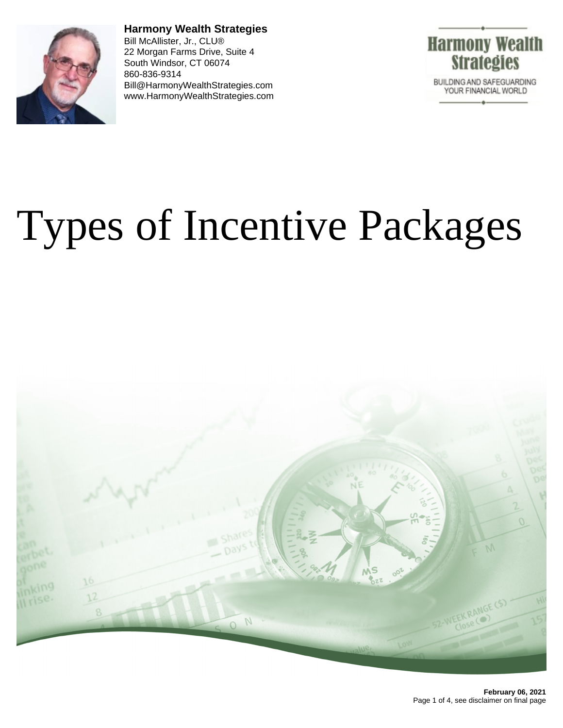

**Harmony Wealth Strategies** Bill McAllister, Jr., CLU® 22 Morgan Farms Drive, Suite 4 South Windsor, CT 06074 860-836-9314 Bill@HarmonyWealthStrategies.com www.HarmonyWealthStrategies.com



# Types of Incentive Packages

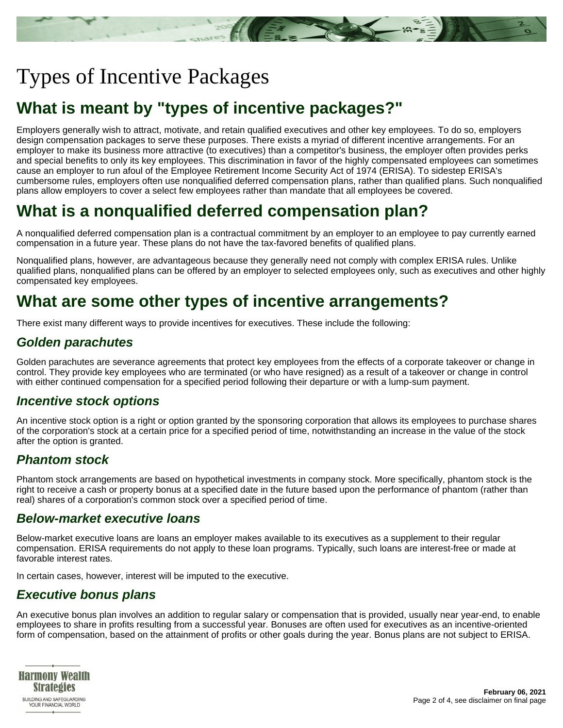## Types of Incentive Packages

## **What is meant by "types of incentive packages?"**

Employers generally wish to attract, motivate, and retain qualified executives and other key employees. To do so, employers design compensation packages to serve these purposes. There exists a myriad of different incentive arrangements. For an employer to make its business more attractive (to executives) than a competitor's business, the employer often provides perks and special benefits to only its key employees. This discrimination in favor of the highly compensated employees can sometimes cause an employer to run afoul of the Employee Retirement Income Security Act of 1974 (ERISA). To sidestep ERISA's cumbersome rules, employers often use nonqualified deferred compensation plans, rather than qualified plans. Such nonqualified plans allow employers to cover a select few employees rather than mandate that all employees be covered.

## **What is a nonqualified deferred compensation plan?**

A nonqualified deferred compensation plan is a contractual commitment by an employer to an employee to pay currently earned compensation in a future year. These plans do not have the tax-favored benefits of qualified plans.

Nonqualified plans, however, are advantageous because they generally need not comply with complex ERISA rules. Unlike qualified plans, nonqualified plans can be offered by an employer to selected employees only, such as executives and other highly compensated key employees.

## **What are some other types of incentive arrangements?**

There exist many different ways to provide incentives for executives. These include the following:

#### **Golden parachutes**

Golden parachutes are severance agreements that protect key employees from the effects of a corporate takeover or change in control. They provide key employees who are terminated (or who have resigned) as a result of a takeover or change in control with either continued compensation for a specified period following their departure or with a lump-sum payment.

#### **Incentive stock options**

An incentive stock option is a right or option granted by the sponsoring corporation that allows its employees to purchase shares of the corporation's stock at a certain price for a specified period of time, notwithstanding an increase in the value of the stock after the option is granted.

#### **Phantom stock**

Phantom stock arrangements are based on hypothetical investments in company stock. More specifically, phantom stock is the right to receive a cash or property bonus at a specified date in the future based upon the performance of phantom (rather than real) shares of a corporation's common stock over a specified period of time.

#### **Below-market executive loans**

Below-market executive loans are loans an employer makes available to its executives as a supplement to their regular compensation. ERISA requirements do not apply to these loan programs. Typically, such loans are interest-free or made at favorable interest rates.

In certain cases, however, interest will be imputed to the executive.

#### **Executive bonus plans**

An executive bonus plan involves an addition to regular salary or compensation that is provided, usually near year-end, to enable employees to share in profits resulting from a successful year. Bonuses are often used for executives as an incentive-oriented form of compensation, based on the attainment of profits or other goals during the year. Bonus plans are not subject to ERISA.

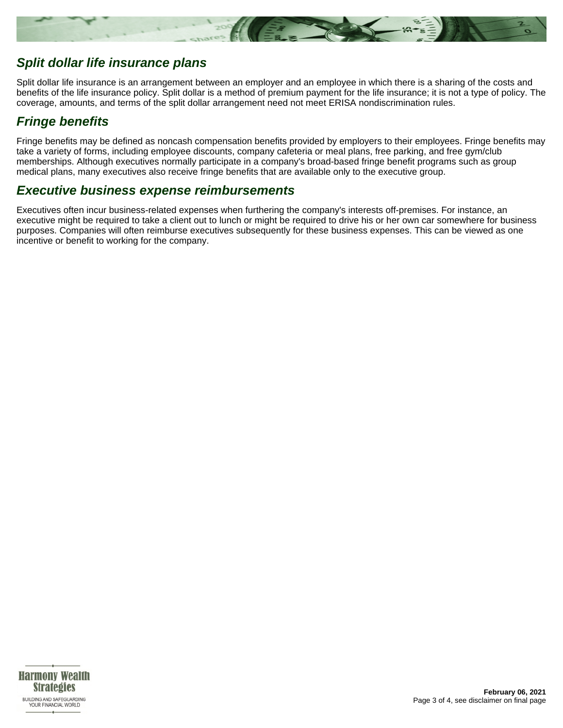

#### **Split dollar life insurance plans**

Split dollar life insurance is an arrangement between an employer and an employee in which there is a sharing of the costs and benefits of the life insurance policy. Split dollar is a method of premium payment for the life insurance; it is not a type of policy. The coverage, amounts, and terms of the split dollar arrangement need not meet ERISA nondiscrimination rules.

#### **Fringe benefits**

Fringe benefits may be defined as noncash compensation benefits provided by employers to their employees. Fringe benefits may take a variety of forms, including employee discounts, company cafeteria or meal plans, free parking, and free gym/club memberships. Although executives normally participate in a company's broad-based fringe benefit programs such as group medical plans, many executives also receive fringe benefits that are available only to the executive group.

#### **Executive business expense reimbursements**

Executives often incur business-related expenses when furthering the company's interests off-premises. For instance, an executive might be required to take a client out to lunch or might be required to drive his or her own car somewhere for business purposes. Companies will often reimburse executives subsequently for these business expenses. This can be viewed as one incentive or benefit to working for the company.